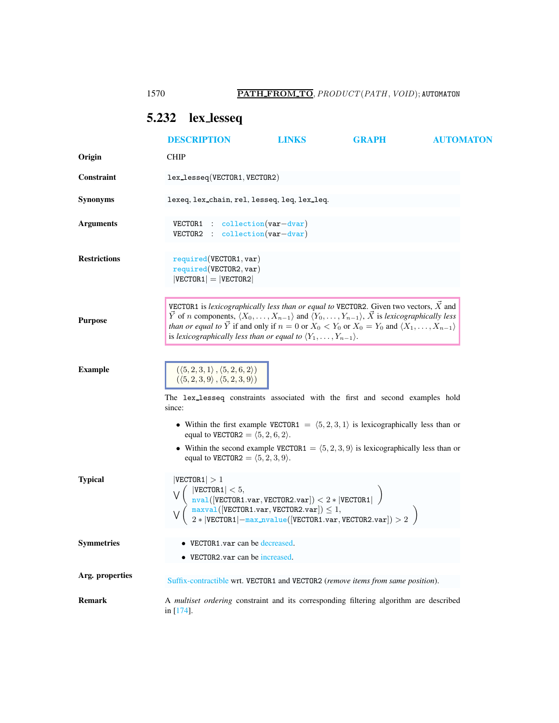# <span id="page-0-0"></span>5.232 lex lesseq

|                     | <b>DESCRIPTION</b>                                                                                                                                                                                                                                                                                                                                                                                                                                                                      | <b>LINKS</b> | <b>GRAPH</b> | <b>AUTOMATON</b> |
|---------------------|-----------------------------------------------------------------------------------------------------------------------------------------------------------------------------------------------------------------------------------------------------------------------------------------------------------------------------------------------------------------------------------------------------------------------------------------------------------------------------------------|--------------|--------------|------------------|
| Origin              | <b>CHIP</b>                                                                                                                                                                                                                                                                                                                                                                                                                                                                             |              |              |                  |
| Constraint          | lex_lesseq(VECTOR1, VECTOR2)                                                                                                                                                                                                                                                                                                                                                                                                                                                            |              |              |                  |
| <b>Synonyms</b>     | lexeq, lex_chain, rel, lesseq, leq, lex_leq.                                                                                                                                                                                                                                                                                                                                                                                                                                            |              |              |                  |
| <b>Arguments</b>    | $VECTOR1$ : collection(var-dvar)<br>$\text{collection}(var-dvar)$<br>VECTOR2<br>$\mathcal{L}$                                                                                                                                                                                                                                                                                                                                                                                           |              |              |                  |
| <b>Restrictions</b> | required(VECTOR1, var)<br>required(VECTOR2, var)<br>$ VECTOR1  =  VECTOR2 $                                                                                                                                                                                                                                                                                                                                                                                                             |              |              |                  |
| <b>Purpose</b>      | VECTOR1 is lexicographically less than or equal to VECTOR2. Given two vectors, $\vec{X}$ and<br>$\vec{Y}$ of <i>n</i> components, $\langle X_0, \ldots, X_{n-1} \rangle$ and $\langle Y_0, \ldots, Y_{n-1} \rangle$ , $\vec{X}$ is lexicographically less<br><i>than or equal to</i> $\overline{Y}$ if and only if $n = 0$ or $X_0 < Y_0$ or $X_0 = Y_0$ and $\langle X_1, \ldots, X_{n-1} \rangle$<br>is lexicographically less than or equal to $\langle Y_1,\ldots,Y_{n-1}\rangle$ . |              |              |                  |
| <b>Example</b>      | $(\langle 5,2,3,1\rangle\,,\langle 5,2,6,2\rangle)$<br>$(\langle 5, 2, 3, 9 \rangle, \langle 5, 2, 3, 9 \rangle)$<br>The lex_lesseq constraints associated with the first and second examples hold<br>since:                                                                                                                                                                                                                                                                            |              |              |                  |
| <b>Typical</b>      | • Within the first example VECTOR1 = $(5,2,3,1)$ is lexicographically less than or<br>equal to VECTOR2 = $\langle 5, 2, 6, 2 \rangle$ .<br>• Within the second example VECTOR1 = $(5, 2, 3, 9)$ is lexicographically less than or<br>equal to VECTOR2 = $\langle 5, 2, 3, 9 \rangle$ .<br> VECTOR1  > 1<br>$ \texttt{VECTOR1}  < 5,$<br>$\frac{1}{2}$ NVal([VECTOR1.var, VECTOR2.var]) < 2 *  VECTOR1                                                                                   |              |              |                  |
| <b>Symmetries</b>   | $\begin{array}{l} \frac{\texttt{maxval}}{\texttt{maxval}}(\texttt{[VECTOR1.var}, \texttt{VECTOR2.var}]) \leq 1,\\ 2 *  \texttt{VECTOR1}  - \frac{\texttt{max_nvalue}}{\texttt{[VECTOR1.var}}, \texttt{VECTOR2.var}]) > 2 \end{array}$<br>VECTOR1.var can be decreased.<br>$\bullet$ VECTOR2.var can be increased.                                                                                                                                                                       |              |              |                  |
| Arg. properties     | Suffix-contractible wrt. VECTOR1 and VECTOR2 (remove items from same position).                                                                                                                                                                                                                                                                                                                                                                                                         |              |              |                  |
| <b>Remark</b>       | A multiset ordering constraint and its corresponding filtering algorithm are described<br>in $[174]$ .                                                                                                                                                                                                                                                                                                                                                                                  |              |              |                  |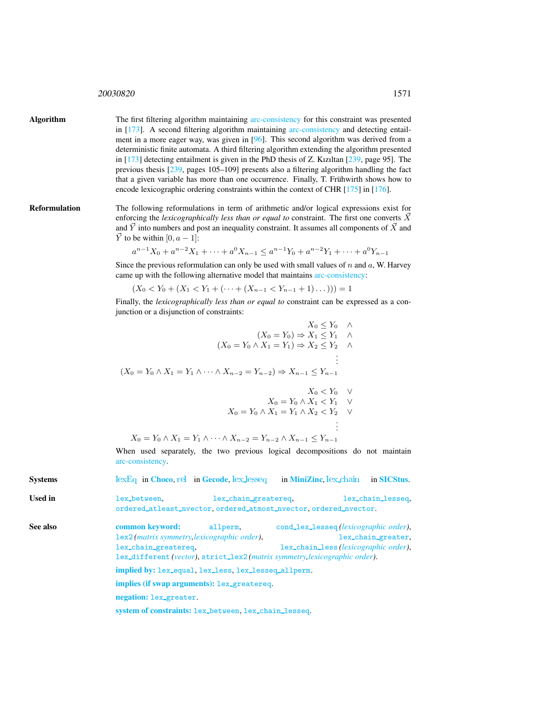## <sup>20030820</sup> 1571

Algorithm The first filtering algorithm maintaining arc-consistency for this constraint was presented in [173]. A second filtering algorithm maintaining arc-consistency and detecting entailment in a more eager way, was given in [96]. This second algorithm was derived from a deterministic finite automata. A third filtering algorithm extending the algorithm presented in [173] detecting entailment is given in the PhD thesis of Z. Kızıltan [239, page 95]. The previous thesis [239, pages 105–109] presents also a filtering algorithm handling the fact that a given variable has more than one occurrence. Finally, T. Frühwirth shows how to encode lexicographic ordering constraints within the context of CHR [175] in [176].

Reformulation The following reformulations in term of arithmetic and/or logical expressions exist for enforcing the *lexicographically less than or equal to* constraint. The first one converts  $\vec{X}$ and  $\vec{Y}$  into numbers and post an inequality constraint. It assumes all components of  $\vec{X}$  and  $\vec{Y}$  to be within [0,  $a - 1$ ]:

$$
a^{n-1}X_0 + a^{n-2}X_1 + \dots + a^0X_{n-1} \le a^{n-1}Y_0 + a^{n-2}Y_1 + \dots + a^0Y_{n-1}
$$

Since the previous reformulation can only be used with small values of  $n$  and  $a$ , W. Harvey came up with the following alternative model that maintains arc-consistency:

 $(X_0 < Y_0 + (X_1 < Y_1 + (\cdots + (X_{n-1} < Y_{n-1} + 1) \dots))) = 1$ 

Finally, the *lexicographically less than or equal to* constraint can be expressed as a conjunction or a disjunction of constraints:

<span id="page-1-0"></span>

|          | $X_0 \leq Y_0 \quad \wedge$                                                                                                    |  |  |  |  |
|----------|--------------------------------------------------------------------------------------------------------------------------------|--|--|--|--|
|          | $(X_0 = Y_0) \Rightarrow X_1 \leq Y_1 \quad \wedge$                                                                            |  |  |  |  |
|          | $(X_0 = Y_0 \wedge X_1 = Y_1) \Rightarrow X_2 \le Y_2 \wedge$                                                                  |  |  |  |  |
|          |                                                                                                                                |  |  |  |  |
|          | $(X_0 = Y_0 \wedge X_1 = Y_1 \wedge \cdots \wedge X_{n-2} = Y_{n-2}) \Rightarrow X_{n-1} \leq Y_{n-1}$                         |  |  |  |  |
|          | $X_0 < Y_0$ V                                                                                                                  |  |  |  |  |
|          | $X_0 = Y_0 \wedge X_1 < Y_1$ V<br>$X_0 = Y_0 \wedge X_1 = Y_1 \wedge X_2 < Y_2$ V                                              |  |  |  |  |
|          |                                                                                                                                |  |  |  |  |
|          |                                                                                                                                |  |  |  |  |
|          | $X_0 = Y_0 \wedge X_1 = Y_1 \wedge \cdots \wedge X_{n-2} = Y_{n-2} \wedge X_{n-1} \leq Y_{n-1}$                                |  |  |  |  |
|          | When used separately, the two previous logical decompositions do not maintain<br>arc-consistency.                              |  |  |  |  |
| Svstems  | $lexEq$ in Choco, rel in Gecode, $lex\_lesseq$ in MiniZinc, $lex\_chain$<br>in <b>SICStus</b> .                                |  |  |  |  |
| Used in  | lex_chain_greatereq,<br>lex_between.<br>lex_chain_lesseq,<br>ordered_atleast_nvector, ordered_atmost_nvector, ordered_nvector. |  |  |  |  |
| See also | common keyword:<br>allperm,<br>cond_lex_lesseq(lexicographic order),                                                           |  |  |  |  |
|          | 1ex2 (matrix symmetry, lexicographic order),<br>lex_chain_greater,                                                             |  |  |  |  |
|          | lex_chain_less(lexicographic order),<br>lex_chain_greatereq,                                                                   |  |  |  |  |
|          | lex_different(vector), strict_lex2(matrix symmetry, lexicographic order).                                                      |  |  |  |  |
|          | implied by: lex_equal, lex_less, lex_lesseq_allperm.                                                                           |  |  |  |  |
|          | implies (if swap arguments): lex_greatereq.                                                                                    |  |  |  |  |
|          | negation: lex_greater.                                                                                                         |  |  |  |  |
|          | system of constraints: lex_between, lex_chain_lesseq.                                                                          |  |  |  |  |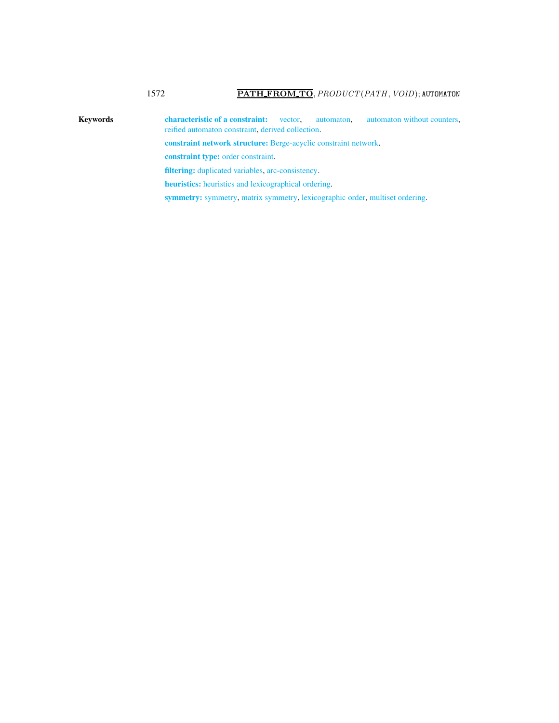Keywords characteristic of a constraint: vector, automaton, automaton without counters, reified automaton constraint, derived collection. constraint network structure: Berge-acyclic constraint network. constraint type: order constraint. filtering: duplicated variables, arc-consistency. heuristics: heuristics and lexicographical ordering.

symmetry: symmetry, matrix symmetry, lexicographic order, multiset ordering.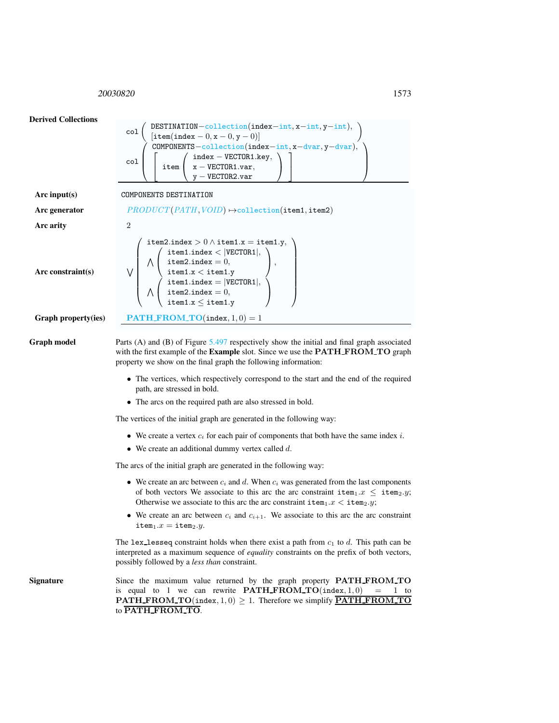<span id="page-3-0"></span><sup>20030820</sup> 1573



The lex-lesseq constraint holds when there exist a path from  $c_1$  to d. This path can be interpreted as a maximum sequence of *equality* constraints on the prefix of both vectors, possibly followed by a *less than* constraint.

Signature Since the maximum value returned by the graph property **PATH\_FROM\_TO** is equal to 1 we can rewrite  $\textbf{PATH\_FROM\_TO}(\text{index}, 1, 0) = 1$  to **PATH\_FROM\_TO**(index,  $1, 0$ )  $\geq 1$ . Therefore we simplify **PATH\_FROM\_TO** to PATH FROM TO.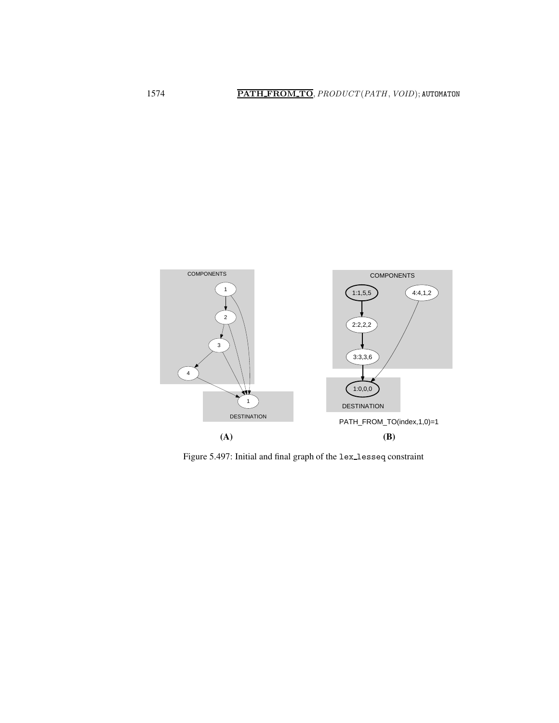

<span id="page-4-0"></span>Figure 5.497: Initial and final graph of the lex lesseq constraint